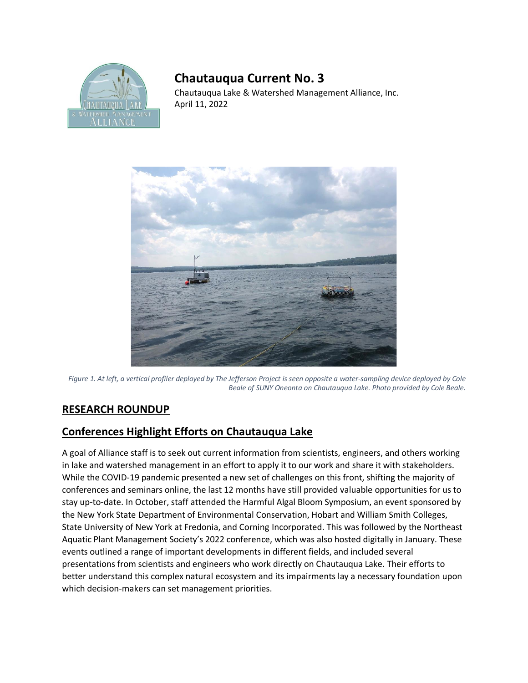

## **Chautauqua Current No. 3**

Chautauqua Lake & Watershed Management Alliance, Inc. April 11, 2022



*Figure 1. At left, a vertical profiler deployed by The Jefferson Project is seen opposite a water-sampling device deployed by Cole Beale of SUNY Oneonta on Chautauqua Lake. Photo provided by Cole Beale.* 

## **RESEARCH ROUNDUP**

## **Conferences Highlight Efforts on Chautauqua Lake**

A goal of Alliance staff is to seek out current information from scientists, engineers, and others working in lake and watershed management in an effort to apply it to our work and share it with stakeholders. While the COVID-19 pandemic presented a new set of challenges on this front, shifting the majority of conferences and seminars online, the last 12 months have still provided valuable opportunities for us to stay up-to-date. In October, staff attended the Harmful Algal Bloom Symposium, an event sponsored by the New York State Department of Environmental Conservation, Hobart and William Smith Colleges, State University of New York at Fredonia, and Corning Incorporated. This was followed by the Northeast Aquatic Plant Management Society's 2022 conference, which was also hosted digitally in January. These events outlined a range of important developments in different fields, and included several presentations from scientists and engineers who work directly on Chautauqua Lake. Their efforts to better understand this complex natural ecosystem and its impairments lay a necessary foundation upon which decision-makers can set management priorities.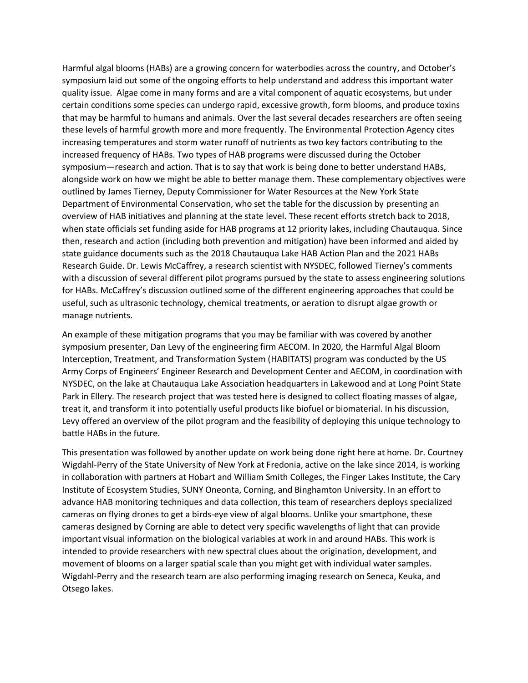Harmful algal blooms (HABs) are a growing concern for waterbodies across the country, and October's symposium laid out some of the ongoing efforts to help understand and address this important water quality issue. Algae come in many forms and are a vital component of aquatic ecosystems, but under certain conditions some species can undergo rapid, excessive growth, form blooms, and produce toxins that may be harmful to humans and animals. Over the last several decades researchers are often seeing these levels of harmful growth more and more frequently. The Environmental Protection Agency cites increasing temperatures and storm water runoff of nutrients as two key factors contributing to the increased frequency of HABs. Two types of HAB programs were discussed during the October symposium—research and action. That is to say that work is being done to better understand HABs, alongside work on how we might be able to better manage them. These complementary objectives were outlined by James Tierney, Deputy Commissioner for Water Resources at the New York State Department of Environmental Conservation, who set the table for the discussion by presenting an overview of HAB initiatives and planning at the state level. These recent efforts stretch back to 2018, when state officials set funding aside for HAB programs at 12 priority lakes, including Chautauqua. Since then, research and action (including both prevention and mitigation) have been informed and aided by state guidance documents such as the 2018 Chautauqua Lake HAB Action Plan and the 2021 HABs Research Guide. Dr. Lewis McCaffrey, a research scientist with NYSDEC, followed Tierney's comments with a discussion of several different pilot programs pursued by the state to assess engineering solutions for HABs. McCaffrey's discussion outlined some of the different engineering approaches that could be useful, such as ultrasonic technology, chemical treatments, or aeration to disrupt algae growth or manage nutrients.

An example of these mitigation programs that you may be familiar with was covered by another symposium presenter, Dan Levy of the engineering firm AECOM. In 2020, the Harmful Algal Bloom Interception, Treatment, and Transformation System (HABITATS) program was conducted by the US Army Corps of Engineers' Engineer Research and Development Center and AECOM, in coordination with NYSDEC, on the lake at Chautauqua Lake Association headquarters in Lakewood and at Long Point State Park in Ellery. The research project that was tested here is designed to collect floating masses of algae, treat it, and transform it into potentially useful products like biofuel or biomaterial. In his discussion, Levy offered an overview of the pilot program and the feasibility of deploying this unique technology to battle HABs in the future.

This presentation was followed by another update on work being done right here at home. Dr. Courtney Wigdahl-Perry of the State University of New York at Fredonia, active on the lake since 2014, is working in collaboration with partners at Hobart and William Smith Colleges, the Finger Lakes Institute, the Cary Institute of Ecosystem Studies, SUNY Oneonta, Corning, and Binghamton University. In an effort to advance HAB monitoring techniques and data collection, this team of researchers deploys specialized cameras on flying drones to get a birds-eye view of algal blooms. Unlike your smartphone, these cameras designed by Corning are able to detect very specific wavelengths of light that can provide important visual information on the biological variables at work in and around HABs. This work is intended to provide researchers with new spectral clues about the origination, development, and movement of blooms on a larger spatial scale than you might get with individual water samples. Wigdahl-Perry and the research team are also performing imaging research on Seneca, Keuka, and Otsego lakes.